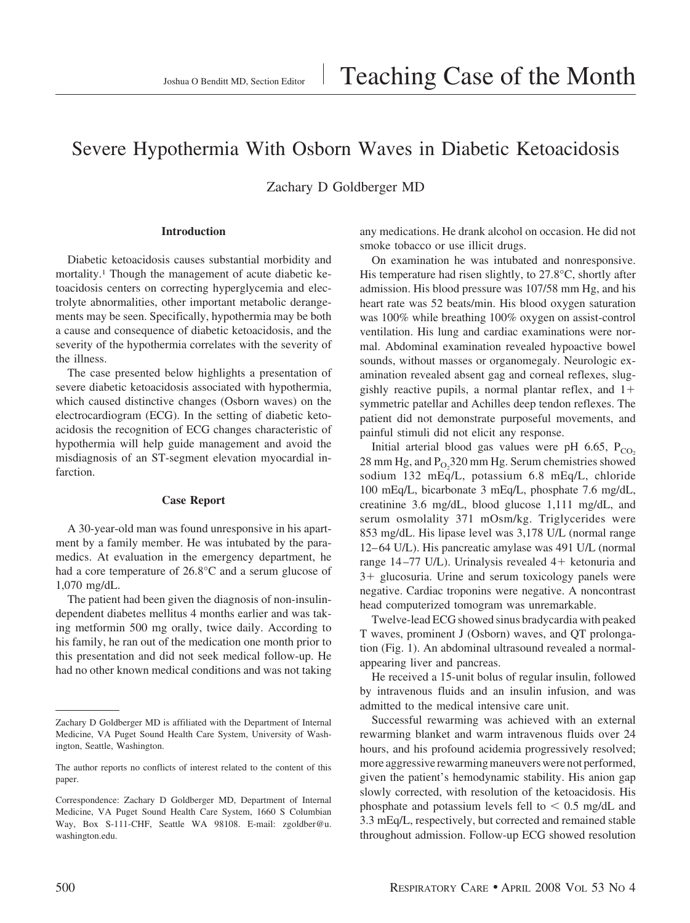# Severe Hypothermia With Osborn Waves in Diabetic Ketoacidosis

Zachary D Goldberger MD

## **Introduction**

Diabetic ketoacidosis causes substantial morbidity and mortality.1 Though the management of acute diabetic ketoacidosis centers on correcting hyperglycemia and electrolyte abnormalities, other important metabolic derangements may be seen. Specifically, hypothermia may be both a cause and consequence of diabetic ketoacidosis, and the severity of the hypothermia correlates with the severity of the illness.

The case presented below highlights a presentation of severe diabetic ketoacidosis associated with hypothermia, which caused distinctive changes (Osborn waves) on the electrocardiogram (ECG). In the setting of diabetic ketoacidosis the recognition of ECG changes characteristic of hypothermia will help guide management and avoid the misdiagnosis of an ST-segment elevation myocardial infarction.

#### **Case Report**

A 30-year-old man was found unresponsive in his apartment by a family member. He was intubated by the paramedics. At evaluation in the emergency department, he had a core temperature of 26.8°C and a serum glucose of 1,070 mg/dL.

The patient had been given the diagnosis of non-insulindependent diabetes mellitus 4 months earlier and was taking metformin 500 mg orally, twice daily. According to his family, he ran out of the medication one month prior to this presentation and did not seek medical follow-up. He had no other known medical conditions and was not taking any medications. He drank alcohol on occasion. He did not smoke tobacco or use illicit drugs.

On examination he was intubated and nonresponsive. His temperature had risen slightly, to 27.8°C, shortly after admission. His blood pressure was 107/58 mm Hg, and his heart rate was 52 beats/min. His blood oxygen saturation was 100% while breathing 100% oxygen on assist-control ventilation. His lung and cardiac examinations were normal. Abdominal examination revealed hypoactive bowel sounds, without masses or organomegaly. Neurologic examination revealed absent gag and corneal reflexes, sluggishly reactive pupils, a normal plantar reflex, and  $1+$ symmetric patellar and Achilles deep tendon reflexes. The patient did not demonstrate purposeful movements, and painful stimuli did not elicit any response.

Initial arterial blood gas values were pH 6.65,  $P_{CO_2}$  $28$  mm Hg, and  $P_{O_2}$ 320 mm Hg. Serum chemistries showed sodium 132 mEq/L, potassium 6.8 mEq/L, chloride 100 mEq/L, bicarbonate 3 mEq/L, phosphate 7.6 mg/dL, creatinine 3.6 mg/dL, blood glucose 1,111 mg/dL, and serum osmolality 371 mOsm/kg. Triglycerides were 853 mg/dL. His lipase level was 3,178 U/L (normal range 12– 64 U/L). His pancreatic amylase was 491 U/L (normal range 14-77 U/L). Urinalysis revealed 4+ ketonuria and  $3+$  glucosuria. Urine and serum toxicology panels were negative. Cardiac troponins were negative. A noncontrast head computerized tomogram was unremarkable.

Twelve-lead ECG showed sinus bradycardia with peaked T waves, prominent J (Osborn) waves, and QT prolongation (Fig. 1). An abdominal ultrasound revealed a normalappearing liver and pancreas.

He received a 15-unit bolus of regular insulin, followed by intravenous fluids and an insulin infusion, and was admitted to the medical intensive care unit.

Successful rewarming was achieved with an external rewarming blanket and warm intravenous fluids over 24 hours, and his profound acidemia progressively resolved; more aggressive rewarming maneuvers were not performed, given the patient's hemodynamic stability. His anion gap slowly corrected, with resolution of the ketoacidosis. His phosphate and potassium levels fell to  $\leq 0.5$  mg/dL and 3.3 mEq/L, respectively, but corrected and remained stable throughout admission. Follow-up ECG showed resolution

Zachary D Goldberger MD is affiliated with the Department of Internal Medicine, VA Puget Sound Health Care System, University of Washington, Seattle, Washington.

The author reports no conflicts of interest related to the content of this paper.

Correspondence: Zachary D Goldberger MD, Department of Internal Medicine, VA Puget Sound Health Care System, 1660 S Columbian Way, Box S-111-CHF, Seattle WA 98108. E-mail: zgoldber@u. washington.edu.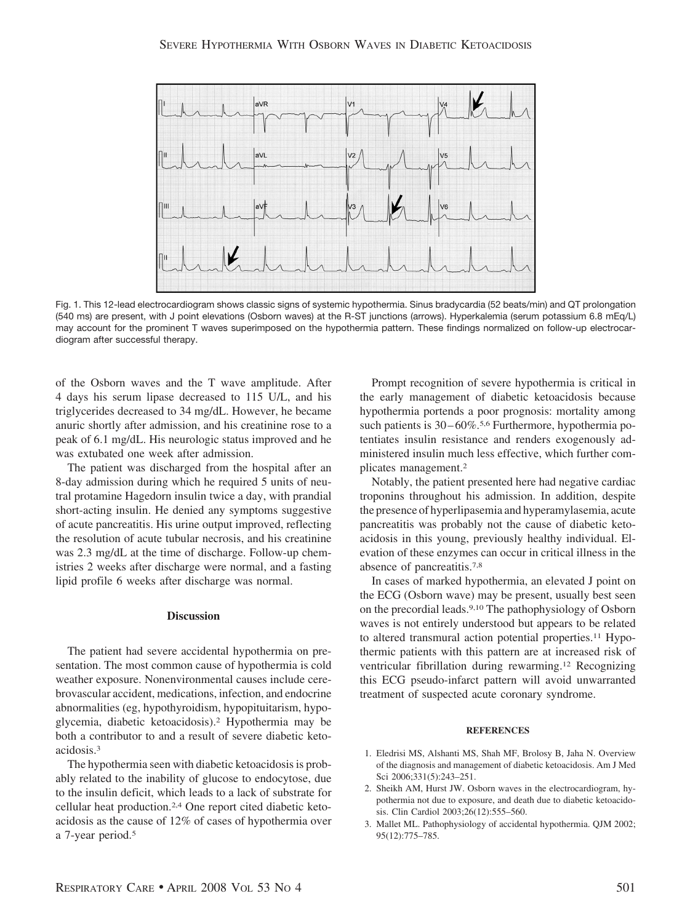

Fig. 1. This 12-lead electrocardiogram shows classic signs of systemic hypothermia. Sinus bradycardia (52 beats/min) and QT prolongation (540 ms) are present, with J point elevations (Osborn waves) at the R-ST junctions (arrows). Hyperkalemia (serum potassium 6.8 mEq/L) may account for the prominent T waves superimposed on the hypothermia pattern. These findings normalized on follow-up electrocardiogram after successful therapy.

of the Osborn waves and the T wave amplitude. After 4 days his serum lipase decreased to 115 U/L, and his triglycerides decreased to 34 mg/dL. However, he became anuric shortly after admission, and his creatinine rose to a peak of 6.1 mg/dL. His neurologic status improved and he was extubated one week after admission.

The patient was discharged from the hospital after an 8-day admission during which he required 5 units of neutral protamine Hagedorn insulin twice a day, with prandial short-acting insulin. He denied any symptoms suggestive of acute pancreatitis. His urine output improved, reflecting the resolution of acute tubular necrosis, and his creatinine was 2.3 mg/dL at the time of discharge. Follow-up chemistries 2 weeks after discharge were normal, and a fasting lipid profile 6 weeks after discharge was normal.

## **Discussion**

The patient had severe accidental hypothermia on presentation. The most common cause of hypothermia is cold weather exposure. Nonenvironmental causes include cerebrovascular accident, medications, infection, and endocrine abnormalities (eg, hypothyroidism, hypopituitarism, hypoglycemia, diabetic ketoacidosis).2 Hypothermia may be both a contributor to and a result of severe diabetic ketoacidosis.3

The hypothermia seen with diabetic ketoacidosis is probably related to the inability of glucose to endocytose, due to the insulin deficit, which leads to a lack of substrate for cellular heat production.2,4 One report cited diabetic ketoacidosis as the cause of 12% of cases of hypothermia over a 7-year period.5

Prompt recognition of severe hypothermia is critical in the early management of diabetic ketoacidosis because hypothermia portends a poor prognosis: mortality among such patients is 30–60%.<sup>5,6</sup> Furthermore, hypothermia potentiates insulin resistance and renders exogenously administered insulin much less effective, which further complicates management.2

Notably, the patient presented here had negative cardiac troponins throughout his admission. In addition, despite the presence of hyperlipasemia and hyperamylasemia, acute pancreatitis was probably not the cause of diabetic ketoacidosis in this young, previously healthy individual. Elevation of these enzymes can occur in critical illness in the absence of pancreatitis.7,8

In cases of marked hypothermia, an elevated J point on the ECG (Osborn wave) may be present, usually best seen on the precordial leads.9,10 The pathophysiology of Osborn waves is not entirely understood but appears to be related to altered transmural action potential properties.<sup>11</sup> Hypothermic patients with this pattern are at increased risk of ventricular fibrillation during rewarming.12 Recognizing this ECG pseudo-infarct pattern will avoid unwarranted treatment of suspected acute coronary syndrome.

## **REFERENCES**

- 1. Eledrisi MS, Alshanti MS, Shah MF, Brolosy B, Jaha N. Overview of the diagnosis and management of diabetic ketoacidosis. Am J Med Sci 2006;331(5):243-251.
- 2. Sheikh AM, Hurst JW. Osborn waves in the electrocardiogram, hypothermia not due to exposure, and death due to diabetic ketoacidosis. Clin Cardiol 2003;26(12):555–560.
- 3. Mallet ML. Pathophysiology of accidental hypothermia. QJM 2002; 95(12):775–785.